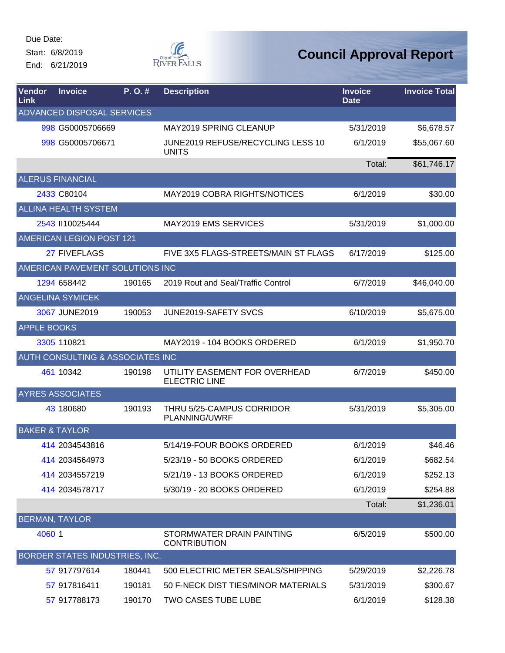Due Date: Start: 6/8/2019

End: 6/21/2019



| <b>Vendor</b><br>Link     | <b>Invoice</b>                   | P.O.#  | <b>Description</b>                                    | <b>Invoice</b><br><b>Date</b> | <b>Invoice Total</b> |
|---------------------------|----------------------------------|--------|-------------------------------------------------------|-------------------------------|----------------------|
|                           | ADVANCED DISPOSAL SERVICES       |        |                                                       |                               |                      |
|                           | 998 G50005706669                 |        | <b>MAY2019 SPRING CLEANUP</b>                         | 5/31/2019                     | \$6,678.57           |
|                           | 998 G50005706671                 |        | JUNE2019 REFUSE/RECYCLING LESS 10<br><b>UNITS</b>     | 6/1/2019                      | \$55,067.60          |
|                           |                                  |        |                                                       | Total:                        | \$61,746.17          |
|                           | <b>ALERUS FINANCIAL</b>          |        |                                                       |                               |                      |
|                           | 2433 C80104                      |        | <b>MAY2019 COBRA RIGHTS/NOTICES</b>                   | 6/1/2019                      | \$30.00              |
|                           | <b>ALLINA HEALTH SYSTEM</b>      |        |                                                       |                               |                      |
|                           | 2543 II10025444                  |        | <b>MAY2019 EMS SERVICES</b>                           | 5/31/2019                     | \$1,000.00           |
|                           | AMERICAN LEGION POST 121         |        |                                                       |                               |                      |
|                           | 27 FIVEFLAGS                     |        | FIVE 3X5 FLAGS-STREETS/MAIN ST FLAGS                  | 6/17/2019                     | \$125.00             |
|                           | AMERICAN PAVEMENT SOLUTIONS INC  |        |                                                       |                               |                      |
|                           | 1294 658442                      | 190165 | 2019 Rout and Seal/Traffic Control                    | 6/7/2019                      | \$46,040.00          |
|                           | <b>ANGELINA SYMICEK</b>          |        |                                                       |                               |                      |
|                           | 3067 JUNE2019                    | 190053 | JUNE2019-SAFETY SVCS                                  | 6/10/2019                     | \$5,675.00           |
| <b>APPLE BOOKS</b>        |                                  |        |                                                       |                               |                      |
|                           | 3305 110821                      |        | MAY2019 - 104 BOOKS ORDERED                           | 6/1/2019                      | \$1,950.70           |
|                           | AUTH CONSULTING & ASSOCIATES INC |        |                                                       |                               |                      |
|                           | 461 10342                        | 190198 | UTILITY EASEMENT FOR OVERHEAD<br><b>ELECTRIC LINE</b> | 6/7/2019                      | \$450.00             |
|                           | <b>AYRES ASSOCIATES</b>          |        |                                                       |                               |                      |
|                           | 43 180680                        | 190193 | THRU 5/25-CAMPUS CORRIDOR<br>PLANNING/UWRF            | 5/31/2019                     | \$5,305.00           |
| <b>BAKER &amp; TAYLOR</b> |                                  |        |                                                       |                               |                      |
|                           | 414 2034543816                   |        | 5/14/19-FOUR BOOKS ORDERED                            | 6/1/2019                      | \$46.46              |
|                           | 414 2034564973                   |        | 5/23/19 - 50 BOOKS ORDERED                            | 6/1/2019                      | \$682.54             |
|                           | 414 2034557219                   |        | 5/21/19 - 13 BOOKS ORDERED                            | 6/1/2019                      | \$252.13             |
|                           | 414 2034578717                   |        | 5/30/19 - 20 BOOKS ORDERED                            | 6/1/2019                      | \$254.88             |
|                           |                                  |        |                                                       | Total:                        | \$1,236.01           |
|                           | <b>BERMAN, TAYLOR</b>            |        |                                                       |                               |                      |
| 4060 1                    |                                  |        | STORMWATER DRAIN PAINTING<br><b>CONTRIBUTION</b>      | 6/5/2019                      | \$500.00             |
|                           | BORDER STATES INDUSTRIES, INC.   |        |                                                       |                               |                      |
|                           | 57 917797614                     | 180441 | 500 ELECTRIC METER SEALS/SHIPPING                     | 5/29/2019                     | \$2,226.78           |
|                           | 57 917816411                     | 190181 | 50 F-NECK DIST TIES/MINOR MATERIALS                   | 5/31/2019                     | \$300.67             |
|                           | 57 917788173                     | 190170 | TWO CASES TUBE LUBE                                   | 6/1/2019                      | \$128.38             |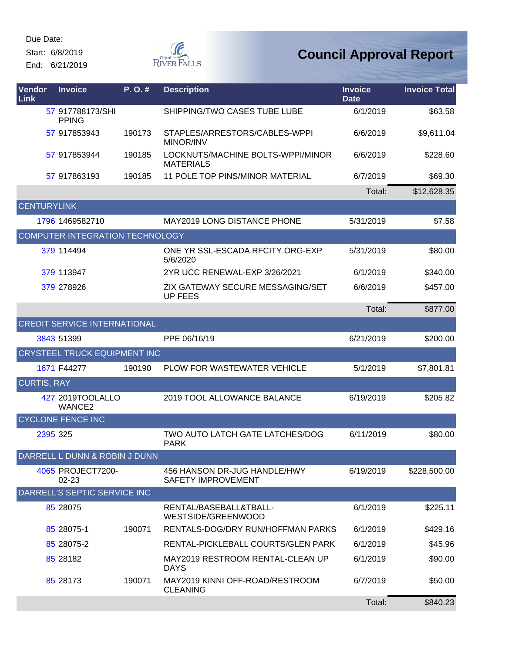Start: 6/8/2019

End: 6/21/2019



| Vendor<br>Link     | <b>Invoice</b>                      | P. O. # | <b>Description</b>                                        | <b>Invoice</b><br><b>Date</b> | <b>Invoice Total</b> |
|--------------------|-------------------------------------|---------|-----------------------------------------------------------|-------------------------------|----------------------|
|                    | 57 917788173/SHI<br><b>PPING</b>    |         | SHIPPING/TWO CASES TUBE LUBE                              | 6/1/2019                      | \$63.58              |
|                    | 57 917853943                        | 190173  | STAPLES/ARRESTORS/CABLES-WPPI<br>MINOR/INV                | 6/6/2019                      | \$9,611.04           |
|                    | 57 917853944                        | 190185  | LOCKNUTS/MACHINE BOLTS-WPPI/MINOR<br><b>MATERIALS</b>     | 6/6/2019                      | \$228.60             |
|                    | 57 917863193                        | 190185  | 11 POLE TOP PINS/MINOR MATERIAL                           | 6/7/2019                      | \$69.30              |
|                    |                                     |         |                                                           | Total:                        | \$12,628.35          |
| <b>CENTURYLINK</b> |                                     |         |                                                           |                               |                      |
|                    | 1796 1469582710                     |         | <b>MAY2019 LONG DISTANCE PHONE</b>                        | 5/31/2019                     | \$7.58               |
|                    | COMPUTER INTEGRATION TECHNOLOGY     |         |                                                           |                               |                      |
|                    | 379 114494                          |         | ONE YR SSL-ESCADA.RFCITY.ORG-EXP<br>5/6/2020              | 5/31/2019                     | \$80.00              |
|                    | 379 113947                          |         | 2YR UCC RENEWAL-EXP 3/26/2021                             | 6/1/2019                      | \$340.00             |
|                    | 379 278926                          |         | ZIX GATEWAY SECURE MESSAGING/SET<br><b>UP FEES</b>        | 6/6/2019                      | \$457.00             |
|                    |                                     |         |                                                           | Total:                        | \$877.00             |
|                    | <b>CREDIT SERVICE INTERNATIONAL</b> |         |                                                           |                               |                      |
|                    | 3843 51399                          |         | PPE 06/16/19                                              | 6/21/2019                     | \$200.00             |
|                    | CRYSTEEL TRUCK EQUIPMENT INC        |         |                                                           |                               |                      |
|                    | 1671 F44277                         | 190190  | PLOW FOR WASTEWATER VEHICLE                               | 5/1/2019                      | \$7,801.81           |
| <b>CURTIS, RAY</b> |                                     |         |                                                           |                               |                      |
|                    | 427 2019TOOLALLO<br>WANCE2          |         | 2019 TOOL ALLOWANCE BALANCE                               | 6/19/2019                     | \$205.82             |
|                    | <b>CYCLONE FENCE INC</b>            |         |                                                           |                               |                      |
|                    | 2395 325                            |         | TWO AUTO LATCH GATE LATCHES/DOG<br><b>PARK</b>            | 6/11/2019                     | \$80.00              |
|                    | DARRELL L DUNN & ROBIN J DUNN       |         |                                                           |                               |                      |
|                    | 4065 PROJECT7200-<br>02-23          |         | 456 HANSON DR-JUG HANDLE/HWY<br><b>SAFETY IMPROVEMENT</b> | 6/19/2019                     | \$228,500.00         |
|                    | DARRELL'S SEPTIC SERVICE INC        |         |                                                           |                               |                      |
|                    | 85 28075                            |         | RENTAL/BASEBALL&TBALL-<br>WESTSIDE/GREENWOOD              | 6/1/2019                      | \$225.11             |
|                    | 85 28075-1                          | 190071  | RENTALS-DOG/DRY RUN/HOFFMAN PARKS                         | 6/1/2019                      | \$429.16             |
|                    | 85 28075-2                          |         | RENTAL-PICKLEBALL COURTS/GLEN PARK                        | 6/1/2019                      | \$45.96              |
|                    | 85 28182                            |         | MAY2019 RESTROOM RENTAL-CLEAN UP<br><b>DAYS</b>           | 6/1/2019                      | \$90.00              |
|                    | 85 28173                            | 190071  | MAY2019 KINNI OFF-ROAD/RESTROOM<br><b>CLEANING</b>        | 6/7/2019                      | \$50.00              |
|                    |                                     |         |                                                           | Total:                        | \$840.23             |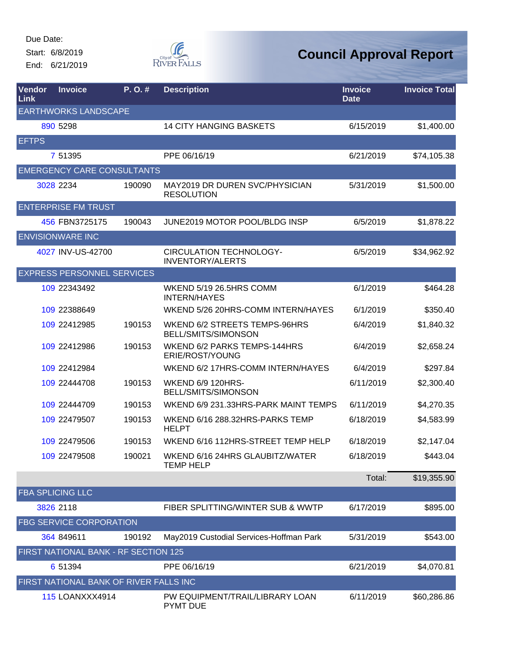Start: 6/8/2019

End: 6/21/2019



| <b>Vendor</b><br>Link | <b>Invoice</b>                         | P.O.#  | <b>Description</b>                                        | <b>Invoice</b><br><b>Date</b> | <b>Invoice Total</b> |
|-----------------------|----------------------------------------|--------|-----------------------------------------------------------|-------------------------------|----------------------|
|                       | <b>EARTHWORKS LANDSCAPE</b>            |        |                                                           |                               |                      |
|                       | 890 5298                               |        | <b>14 CITY HANGING BASKETS</b>                            | 6/15/2019                     | \$1,400.00           |
| <b>EFTPS</b>          |                                        |        |                                                           |                               |                      |
|                       | 7 51395                                |        | PPE 06/16/19                                              | 6/21/2019                     | \$74,105.38          |
|                       | <b>EMERGENCY CARE CONSULTANTS</b>      |        |                                                           |                               |                      |
|                       | 3028 2234                              | 190090 | MAY2019 DR DUREN SVC/PHYSICIAN<br><b>RESOLUTION</b>       | 5/31/2019                     | \$1,500.00           |
|                       | <b>ENTERPRISE FM TRUST</b>             |        |                                                           |                               |                      |
|                       | 456 FBN3725175                         | 190043 | JUNE2019 MOTOR POOL/BLDG INSP                             | 6/5/2019                      | \$1,878.22           |
|                       | <b>ENVISIONWARE INC</b>                |        |                                                           |                               |                      |
|                       | 4027 INV-US-42700                      |        | <b>CIRCULATION TECHNOLOGY-</b><br><b>INVENTORY/ALERTS</b> | 6/5/2019                      | \$34,962.92          |
|                       | <b>EXPRESS PERSONNEL SERVICES</b>      |        |                                                           |                               |                      |
|                       | 109 22343492                           |        | <b>WKEND 5/19 26.5HRS COMM</b><br><b>INTERN/HAYES</b>     | 6/1/2019                      | \$464.28             |
|                       | 109 22388649                           |        | WKEND 5/26 20HRS-COMM INTERN/HAYES                        | 6/1/2019                      | \$350.40             |
|                       | 109 22412985                           | 190153 | WKEND 6/2 STREETS TEMPS-96HRS<br>BELL/SMITS/SIMONSON      | 6/4/2019                      | \$1,840.32           |
|                       | 109 22412986                           | 190153 | WKEND 6/2 PARKS TEMPS-144HRS<br>ERIE/ROST/YOUNG           | 6/4/2019                      | \$2,658.24           |
|                       | 109 22412984                           |        | WKEND 6/2 17HRS-COMM INTERN/HAYES                         | 6/4/2019                      | \$297.84             |
|                       | 109 22444708                           | 190153 | <b>WKEND 6/9 120HRS-</b><br>BELL/SMITS/SIMONSON           | 6/11/2019                     | \$2,300.40           |
|                       | 109 22444709                           | 190153 | WKEND 6/9 231.33HRS-PARK MAINT TEMPS                      | 6/11/2019                     | \$4,270.35           |
|                       | 109 22479507                           | 190153 | WKEND 6/16 288.32HRS-PARKS TEMP<br><b>HELPT</b>           | 6/18/2019                     | \$4,583.99           |
|                       | 109 22479506                           | 190153 | WKEND 6/16 112HRS-STREET TEMP HELP                        | 6/18/2019                     | \$2,147.04           |
|                       | 109 22479508                           | 190021 | WKEND 6/16 24HRS GLAUBITZ/WATER<br><b>TEMP HELP</b>       | 6/18/2019                     | \$443.04             |
|                       |                                        |        |                                                           | Total:                        | \$19,355.90          |
|                       | <b>FBA SPLICING LLC</b>                |        |                                                           |                               |                      |
|                       | 3826 2118                              |        | FIBER SPLITTING/WINTER SUB & WWTP                         | 6/17/2019                     | \$895.00             |
|                       | <b>FBG SERVICE CORPORATION</b>         |        |                                                           |                               |                      |
|                       | 364 849611                             | 190192 | May2019 Custodial Services-Hoffman Park                   | 5/31/2019                     | \$543.00             |
|                       | FIRST NATIONAL BANK - RF SECTION 125   |        |                                                           |                               |                      |
|                       | 6 51394                                |        | PPE 06/16/19                                              | 6/21/2019                     | \$4,070.81           |
|                       | FIRST NATIONAL BANK OF RIVER FALLS INC |        |                                                           |                               |                      |
|                       | <b>115 LOANXXX4914</b>                 |        | PW EQUIPMENT/TRAIL/LIBRARY LOAN<br><b>PYMT DUE</b>        | 6/11/2019                     | \$60,286.86          |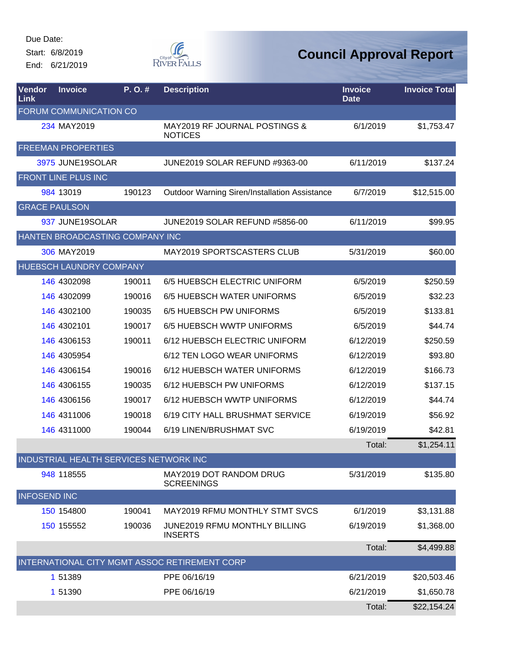Start: 6/8/2019 End: 6/21/2019



| Vendor<br>Link      | <b>Invoice</b>                         | P.O.#  | <b>Description</b>                                   | <b>Invoice</b><br><b>Date</b> | <b>Invoice Total</b> |
|---------------------|----------------------------------------|--------|------------------------------------------------------|-------------------------------|----------------------|
|                     | FORUM COMMUNICATION CO                 |        |                                                      |                               |                      |
|                     | 234 MAY2019                            |        | MAY2019 RF JOURNAL POSTINGS &<br><b>NOTICES</b>      | 6/1/2019                      | \$1,753.47           |
|                     | <b>FREEMAN PROPERTIES</b>              |        |                                                      |                               |                      |
|                     | 3975 JUNE19SOLAR                       |        | JUNE2019 SOLAR REFUND #9363-00                       | 6/11/2019                     | \$137.24             |
|                     | FRONT LINE PLUS INC                    |        |                                                      |                               |                      |
|                     | 984 13019                              | 190123 | <b>Outdoor Warning Siren/Installation Assistance</b> | 6/7/2019                      | \$12,515.00          |
|                     | <b>GRACE PAULSON</b>                   |        |                                                      |                               |                      |
|                     | 937 JUNE19SOLAR                        |        | JUNE2019 SOLAR REFUND #5856-00                       | 6/11/2019                     | \$99.95              |
|                     | HANTEN BROADCASTING COMPANY INC        |        |                                                      |                               |                      |
|                     | 306 MAY2019                            |        | <b>MAY2019 SPORTSCASTERS CLUB</b>                    | 5/31/2019                     | \$60.00              |
|                     | HUEBSCH LAUNDRY COMPANY                |        |                                                      |                               |                      |
|                     | 146 4302098                            | 190011 | 6/5 HUEBSCH ELECTRIC UNIFORM                         | 6/5/2019                      | \$250.59             |
|                     | 146 4302099                            | 190016 | 6/5 HUEBSCH WATER UNIFORMS                           | 6/5/2019                      | \$32.23              |
|                     | 146 4302100                            | 190035 | 6/5 HUEBSCH PW UNIFORMS                              | 6/5/2019                      | \$133.81             |
|                     | 146 4302101                            | 190017 | 6/5 HUEBSCH WWTP UNIFORMS                            | 6/5/2019                      | \$44.74              |
|                     | 146 4306153                            | 190011 | 6/12 HUEBSCH ELECTRIC UNIFORM                        | 6/12/2019                     | \$250.59             |
|                     | 146 4305954                            |        | 6/12 TEN LOGO WEAR UNIFORMS                          | 6/12/2019                     | \$93.80              |
|                     | 146 4306154                            | 190016 | 6/12 HUEBSCH WATER UNIFORMS                          | 6/12/2019                     | \$166.73             |
|                     | 146 4306155                            | 190035 | 6/12 HUEBSCH PW UNIFORMS                             | 6/12/2019                     | \$137.15             |
|                     | 146 4306156                            | 190017 | 6/12 HUEBSCH WWTP UNIFORMS                           | 6/12/2019                     | \$44.74              |
|                     | 146 4311006                            | 190018 | 6/19 CITY HALL BRUSHMAT SERVICE                      | 6/19/2019                     | \$56.92              |
|                     | 146 4311000                            | 190044 | 6/19 LINEN/BRUSHMAT SVC                              | 6/19/2019                     | \$42.81              |
|                     |                                        |        |                                                      | Total:                        | \$1,254.11           |
|                     | INDUSTRIAL HEALTH SERVICES NETWORK INC |        |                                                      |                               |                      |
|                     | 948 118555                             |        | <b>MAY2019 DOT RANDOM DRUG</b><br><b>SCREENINGS</b>  | 5/31/2019                     | \$135.80             |
| <b>INFOSEND INC</b> |                                        |        |                                                      |                               |                      |
|                     | 150 154800                             | 190041 | MAY2019 RFMU MONTHLY STMT SVCS                       | 6/1/2019                      | \$3,131.88           |
|                     | 150 155552                             | 190036 | JUNE2019 RFMU MONTHLY BILLING<br><b>INSERTS</b>      | 6/19/2019                     | \$1,368.00           |
|                     |                                        |        |                                                      | Total:                        | \$4,499.88           |
|                     |                                        |        | INTERNATIONAL CITY MGMT ASSOC RETIREMENT CORP        |                               |                      |
|                     | 1 51389                                |        | PPE 06/16/19                                         | 6/21/2019                     | \$20,503.46          |
|                     | 1 51390                                |        | PPE 06/16/19                                         | 6/21/2019                     | \$1,650.78           |
|                     |                                        |        |                                                      | Total:                        | \$22,154.24          |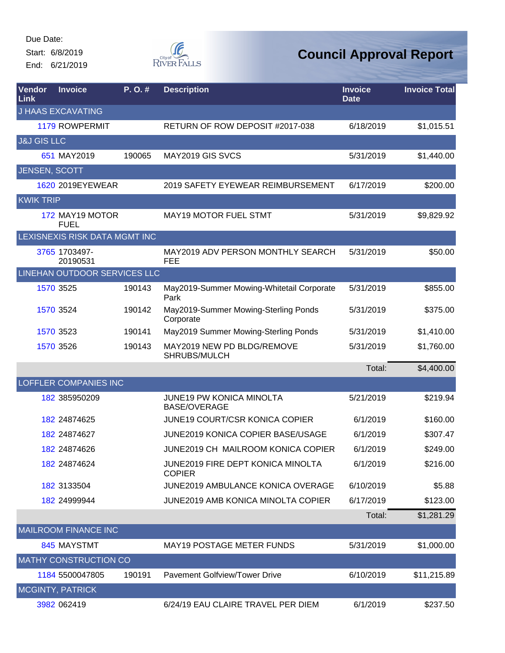Start: 6/8/2019

End: 6/21/2019



| Vendor<br>Link         | <b>Invoice</b>                      | P.O.#  | <b>Description</b>                                     | <b>Invoice</b><br><b>Date</b> | <b>Invoice Total</b> |
|------------------------|-------------------------------------|--------|--------------------------------------------------------|-------------------------------|----------------------|
|                        | <b>J HAAS EXCAVATING</b>            |        |                                                        |                               |                      |
|                        | <b>1179 ROWPERMIT</b>               |        | RETURN OF ROW DEPOSIT #2017-038                        | 6/18/2019                     | \$1,015.51           |
| <b>J&amp;J GIS LLC</b> |                                     |        |                                                        |                               |                      |
|                        | 651 MAY2019                         | 190065 | MAY2019 GIS SVCS                                       | 5/31/2019                     | \$1,440.00           |
| JENSEN, SCOTT          |                                     |        |                                                        |                               |                      |
|                        | 1620 2019EYEWEAR                    |        | 2019 SAFETY EYEWEAR REIMBURSEMENT                      | 6/17/2019                     | \$200.00             |
| <b>KWIK TRIP</b>       |                                     |        |                                                        |                               |                      |
|                        | 172 MAY19 MOTOR<br><b>FUEL</b>      |        | <b>MAY19 MOTOR FUEL STMT</b>                           | 5/31/2019                     | \$9,829.92           |
|                        | LEXISNEXIS RISK DATA MGMT INC       |        |                                                        |                               |                      |
|                        | 3765 1703497-<br>20190531           |        | MAY2019 ADV PERSON MONTHLY SEARCH<br><b>FEE</b>        | 5/31/2019                     | \$50.00              |
|                        | <b>LINEHAN OUTDOOR SERVICES LLC</b> |        |                                                        |                               |                      |
|                        | 1570 3525                           | 190143 | May2019-Summer Mowing-Whitetail Corporate<br>Park      | 5/31/2019                     | \$855.00             |
|                        | 1570 3524                           | 190142 | May2019-Summer Mowing-Sterling Ponds<br>Corporate      | 5/31/2019                     | \$375.00             |
|                        | 1570 3523                           | 190141 | May2019 Summer Mowing-Sterling Ponds                   | 5/31/2019                     | \$1,410.00           |
|                        | 1570 3526                           | 190143 | MAY2019 NEW PD BLDG/REMOVE<br>SHRUBS/MULCH             | 5/31/2019                     | \$1,760.00           |
|                        |                                     |        |                                                        | Total:                        | \$4,400.00           |
|                        | LOFFLER COMPANIES INC               |        |                                                        |                               |                      |
|                        | 182 385950209                       |        | <b>JUNE19 PW KONICA MINOLTA</b><br><b>BASE/OVERAGE</b> | 5/21/2019                     | \$219.94             |
|                        | 182 24874625                        |        | JUNE19 COURT/CSR KONICA COPIER                         | 6/1/2019                      | \$160.00             |
|                        | 182 24874627                        |        | JUNE2019 KONICA COPIER BASE/USAGE                      | 6/1/2019                      | \$307.47             |
|                        | 182 24874626                        |        | JUNE2019 CH MAILROOM KONICA COPIER                     | 6/1/2019                      | \$249.00             |
|                        | 182 24874624                        |        | JUNE2019 FIRE DEPT KONICA MINOLTA<br><b>COPIER</b>     | 6/1/2019                      | \$216.00             |
|                        | 182 3133504                         |        | JUNE2019 AMBULANCE KONICA OVERAGE                      | 6/10/2019                     | \$5.88               |
|                        | 182 24999944                        |        | <b>JUNE2019 AMB KONICA MINOLTA COPIER</b>              | 6/17/2019                     | \$123.00             |
|                        |                                     |        |                                                        | Total:                        | \$1,281.29           |
|                        | <b>MAILROOM FINANCE INC</b>         |        |                                                        |                               |                      |
|                        | 845 MAYSTMT                         |        | <b>MAY19 POSTAGE METER FUNDS</b>                       | 5/31/2019                     | \$1,000.00           |
|                        | <b>MATHY CONSTRUCTION CO</b>        |        |                                                        |                               |                      |
|                        | 1184 5500047805                     | 190191 | <b>Pavement Golfview/Tower Drive</b>                   | 6/10/2019                     | \$11,215.89          |
|                        | <b>MCGINTY, PATRICK</b>             |        |                                                        |                               |                      |
|                        | 3982 062419                         |        | 6/24/19 EAU CLAIRE TRAVEL PER DIEM                     | 6/1/2019                      | \$237.50             |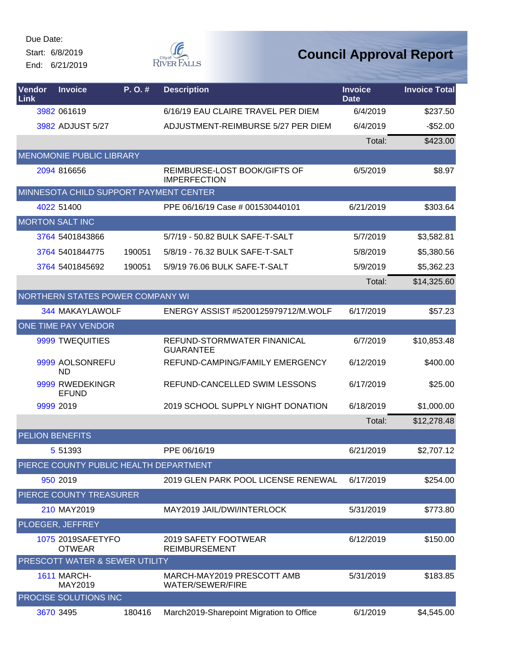Start: 6/8/2019

End: 6/21/2019



| Vendor<br><b>Link</b>  | <b>Invoice</b>                         | P. O. # | <b>Description</b>                                    | <b>Invoice</b><br><b>Date</b> | <b>Invoice Total</b> |
|------------------------|----------------------------------------|---------|-------------------------------------------------------|-------------------------------|----------------------|
|                        | 3982 061619                            |         | 6/16/19 EAU CLAIRE TRAVEL PER DIEM                    | 6/4/2019                      | \$237.50             |
|                        | 3982 ADJUST 5/27                       |         | ADJUSTMENT-REIMBURSE 5/27 PER DIEM                    | 6/4/2019                      | $-$52.00$            |
|                        |                                        |         |                                                       | Total:                        | \$423.00             |
|                        | <b>MENOMONIE PUBLIC LIBRARY</b>        |         |                                                       |                               |                      |
|                        | 2094 816656                            |         | REIMBURSE-LOST BOOK/GIFTS OF<br><b>IMPERFECTION</b>   | 6/5/2019                      | \$8.97               |
|                        | MINNESOTA CHILD SUPPORT PAYMENT CENTER |         |                                                       |                               |                      |
|                        | 4022 51400                             |         | PPE 06/16/19 Case # 001530440101                      | 6/21/2019                     | \$303.64             |
|                        | <b>MORTON SALT INC</b>                 |         |                                                       |                               |                      |
|                        | 3764 5401843866                        |         | 5/7/19 - 50.82 BULK SAFE-T-SALT                       | 5/7/2019                      | \$3,582.81           |
|                        | 3764 5401844775                        | 190051  | 5/8/19 - 76.32 BULK SAFE-T-SALT                       | 5/8/2019                      | \$5,380.56           |
|                        | 3764 5401845692                        | 190051  | 5/9/19 76.06 BULK SAFE-T-SALT                         | 5/9/2019                      | \$5,362.23           |
|                        |                                        |         |                                                       | Total:                        | \$14,325.60          |
|                        | NORTHERN STATES POWER COMPANY WI       |         |                                                       |                               |                      |
|                        | 344 MAKAYLAWOLF                        |         | ENERGY ASSIST #5200125979712/M.WOLF                   | 6/17/2019                     | \$57.23              |
|                        | ONE TIME PAY VENDOR                    |         |                                                       |                               |                      |
|                        | 9999 TWEQUITIES                        |         | REFUND-STORMWATER FINANICAL<br><b>GUARANTEE</b>       | 6/7/2019                      | \$10,853.48          |
|                        | 9999 AOLSONREFU<br><b>ND</b>           |         | REFUND-CAMPING/FAMILY EMERGENCY                       | 6/12/2019                     | \$400.00             |
|                        | 9999 RWEDEKINGR<br><b>EFUND</b>        |         | REFUND-CANCELLED SWIM LESSONS                         | 6/17/2019                     | \$25.00              |
|                        | 9999 2019                              |         | 2019 SCHOOL SUPPLY NIGHT DONATION                     | 6/18/2019                     | \$1,000.00           |
|                        |                                        |         |                                                       | Total:                        | \$12,278.48          |
| <b>PELION BENEFITS</b> |                                        |         |                                                       |                               |                      |
|                        | 5 51393                                |         | PPE 06/16/19                                          | 6/21/2019                     | \$2,707.12           |
|                        | PIERCE COUNTY PUBLIC HEALTH DEPARTMENT |         |                                                       |                               |                      |
|                        | 950 2019                               |         | 2019 GLEN PARK POOL LICENSE RENEWAL                   | 6/17/2019                     | \$254.00             |
|                        | PIERCE COUNTY TREASURER                |         |                                                       |                               |                      |
|                        | 210 MAY2019                            |         | MAY2019 JAIL/DWI/INTERLOCK                            | 5/31/2019                     | \$773.80             |
|                        | PLOEGER, JEFFREY                       |         |                                                       |                               |                      |
|                        | 1075 2019SAFETYFO<br><b>OTWEAR</b>     |         | 2019 SAFETY FOOTWEAR<br><b>REIMBURSEMENT</b>          | 6/12/2019                     | \$150.00             |
|                        | PRESCOTT WATER & SEWER UTILITY         |         |                                                       |                               |                      |
|                        | <b>1611 MARCH-</b><br>MAY2019          |         | MARCH-MAY2019 PRESCOTT AMB<br><b>WATER/SEWER/FIRE</b> | 5/31/2019                     | \$183.85             |
|                        | <b>PROCISE SOLUTIONS INC</b>           |         |                                                       |                               |                      |
|                        | 3670 3495                              | 180416  | March2019-Sharepoint Migration to Office              | 6/1/2019                      | \$4,545.00           |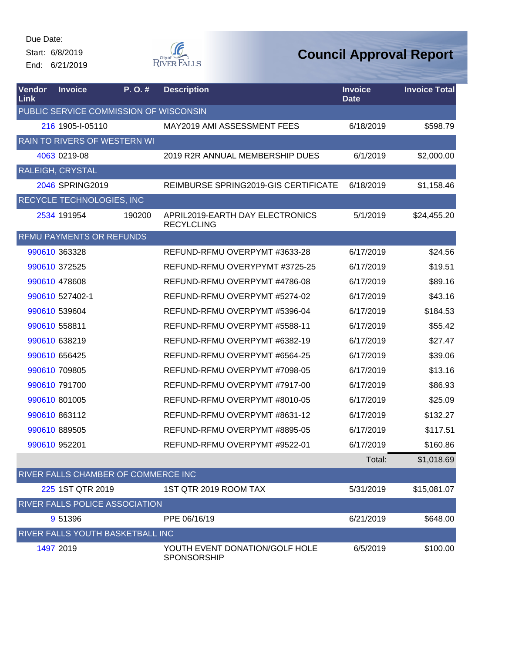Start: 6/8/2019 End: 6/21/2019



| Vendor<br>Link | <b>Invoice</b>                         | P.O.#  | <b>Description</b>                                   | <b>Invoice</b><br><b>Date</b> | <b>Invoice Total</b> |
|----------------|----------------------------------------|--------|------------------------------------------------------|-------------------------------|----------------------|
|                | PUBLIC SERVICE COMMISSION OF WISCONSIN |        |                                                      |                               |                      |
|                | 216 1905-1-05110                       |        | MAY2019 AMI ASSESSMENT FEES                          | 6/18/2019                     | \$598.79             |
|                | RAIN TO RIVERS OF WESTERN WI           |        |                                                      |                               |                      |
|                | 4063 0219-08                           |        | 2019 R2R ANNUAL MEMBERSHIP DUES                      | 6/1/2019                      | \$2,000.00           |
|                | RALEIGH, CRYSTAL                       |        |                                                      |                               |                      |
|                | 2046 SPRING2019                        |        | REIMBURSE SPRING2019-GIS CERTIFICATE                 | 6/18/2019                     | \$1,158.46           |
|                | RECYCLE TECHNOLOGIES, INC              |        |                                                      |                               |                      |
|                | 2534 191954                            | 190200 | APRIL2019-EARTH DAY ELECTRONICS<br><b>RECYLCLING</b> | 5/1/2019                      | \$24,455.20          |
|                | RFMU PAYMENTS OR REFUNDS               |        |                                                      |                               |                      |
|                | 990610 363328                          |        | REFUND-RFMU OVERPYMT #3633-28                        | 6/17/2019                     | \$24.56              |
|                | 990610 372525                          |        | REFUND-RFMU OVERYPYMT #3725-25                       | 6/17/2019                     | \$19.51              |
|                | 990610 478608                          |        | REFUND-RFMU OVERPYMT #4786-08                        | 6/17/2019                     | \$89.16              |
|                | 990610 527402-1                        |        | REFUND-RFMU OVERPYMT #5274-02                        | 6/17/2019                     | \$43.16              |
|                | 990610 539604                          |        | REFUND-RFMU OVERPYMT #5396-04                        | 6/17/2019                     | \$184.53             |
|                | 990610 558811                          |        | REFUND-RFMU OVERPYMT #5588-11                        | 6/17/2019                     | \$55.42              |
|                | 990610 638219                          |        | REFUND-RFMU OVERPYMT #6382-19                        | 6/17/2019                     | \$27.47              |
|                | 990610 656425                          |        | REFUND-RFMU OVERPYMT #6564-25                        | 6/17/2019                     | \$39.06              |
|                | 990610 709805                          |        | REFUND-RFMU OVERPYMT #7098-05                        | 6/17/2019                     | \$13.16              |
|                | 990610 791700                          |        | REFUND-RFMU OVERPYMT #7917-00                        | 6/17/2019                     | \$86.93              |
|                | 990610 801005                          |        | REFUND-RFMU OVERPYMT #8010-05                        | 6/17/2019                     | \$25.09              |
|                | 990610 863112                          |        | REFUND-RFMU OVERPYMT #8631-12                        | 6/17/2019                     | \$132.27             |
|                | 990610 889505                          |        | REFUND-RFMU OVERPYMT #8895-05                        | 6/17/2019                     | \$117.51             |
|                | 990610 952201                          |        | REFUND-RFMU OVERPYMT #9522-01                        | 6/17/2019                     | \$160.86             |
|                |                                        |        |                                                      | Total:                        | \$1,018.69           |
|                | RIVER FALLS CHAMBER OF COMMERCE INC    |        |                                                      |                               |                      |
|                | 225 1ST QTR 2019                       |        | 1ST QTR 2019 ROOM TAX                                | 5/31/2019                     | \$15,081.07          |
|                | RIVER FALLS POLICE ASSOCIATION         |        |                                                      |                               |                      |
|                | 9 51396                                |        | PPE 06/16/19                                         | 6/21/2019                     | \$648.00             |
|                | RIVER FALLS YOUTH BASKETBALL INC       |        |                                                      |                               |                      |
|                | 1497 2019                              |        | YOUTH EVENT DONATION/GOLF HOLE<br><b>SPONSORSHIP</b> | 6/5/2019                      | \$100.00             |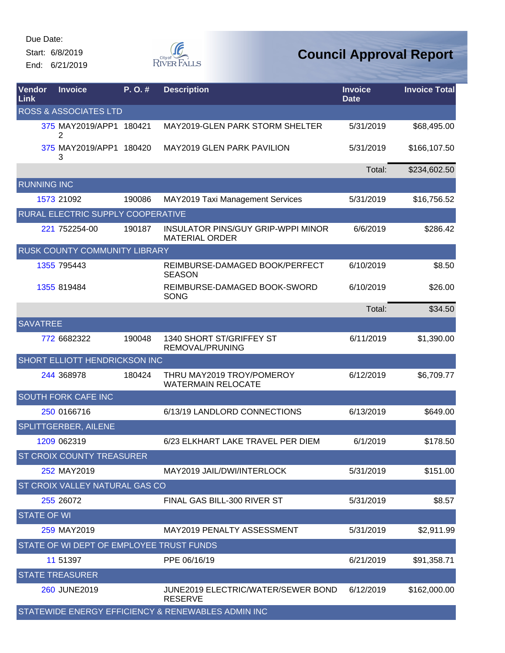Start: 6/8/2019 End: 6/21/2019



| Vendor<br>Link     | <b>Invoice</b>                           | P.O.#  | <b>Description</b>                                                 | <b>Invoice</b><br><b>Date</b> | <b>Invoice Total</b> |
|--------------------|------------------------------------------|--------|--------------------------------------------------------------------|-------------------------------|----------------------|
|                    | <b>ROSS &amp; ASSOCIATES LTD</b>         |        |                                                                    |                               |                      |
|                    | 375 MAY2019/APP1 180421<br>2             |        | MAY2019-GLEN PARK STORM SHELTER                                    | 5/31/2019                     | \$68,495.00          |
|                    | 375 MAY2019/APP1 180420<br>3             |        | <b>MAY2019 GLEN PARK PAVILION</b>                                  | 5/31/2019                     | \$166,107.50         |
|                    |                                          |        |                                                                    | Total:                        | \$234,602.50         |
| <b>RUNNING INC</b> |                                          |        |                                                                    |                               |                      |
|                    | 1573 21092                               | 190086 | MAY2019 Taxi Management Services                                   | 5/31/2019                     | \$16,756.52          |
|                    | RURAL ELECTRIC SUPPLY COOPERATIVE        |        |                                                                    |                               |                      |
|                    | 221 752254-00                            | 190187 | <b>INSULATOR PINS/GUY GRIP-WPPI MINOR</b><br><b>MATERIAL ORDER</b> | 6/6/2019                      | \$286.42             |
|                    | <b>RUSK COUNTY COMMUNITY LIBRARY</b>     |        |                                                                    |                               |                      |
|                    | 1355 795443                              |        | REIMBURSE-DAMAGED BOOK/PERFECT<br><b>SEASON</b>                    | 6/10/2019                     | \$8.50               |
|                    | 1355 819484                              |        | REIMBURSE-DAMAGED BOOK-SWORD<br><b>SONG</b>                        | 6/10/2019                     | \$26.00              |
|                    |                                          |        |                                                                    | Total:                        | \$34.50              |
| <b>SAVATREE</b>    |                                          |        |                                                                    |                               |                      |
|                    | 772 6682322                              | 190048 | 1340 SHORT ST/GRIFFEY ST<br>REMOVAL/PRUNING                        | 6/11/2019                     | \$1,390.00           |
|                    | SHORT ELLIOTT HENDRICKSON INC            |        |                                                                    |                               |                      |
|                    | 244 368978                               | 180424 | THRU MAY2019 TROY/POMEROY<br><b>WATERMAIN RELOCATE</b>             | 6/12/2019                     | \$6,709.77           |
|                    | <b>SOUTH FORK CAFE INC</b>               |        |                                                                    |                               |                      |
|                    | 250 0166716                              |        | 6/13/19 LANDLORD CONNECTIONS                                       | 6/13/2019                     | \$649.00             |
|                    | <b>SPLITTGERBER, AILENE</b>              |        |                                                                    |                               |                      |
|                    | 1209 062319                              |        | 6/23 ELKHART LAKE TRAVEL PER DIEM                                  | 6/1/2019                      | \$178.50             |
|                    | <b>ST CROIX COUNTY TREASURER</b>         |        |                                                                    |                               |                      |
|                    | 252 MAY2019                              |        | MAY2019 JAIL/DWI/INTERLOCK                                         | 5/31/2019                     | \$151.00             |
|                    | <b>ST CROIX VALLEY NATURAL GAS CO</b>    |        |                                                                    |                               |                      |
|                    | 255 26072                                |        | FINAL GAS BILL-300 RIVER ST                                        | 5/31/2019                     | \$8.57               |
| <b>STATE OF WI</b> |                                          |        |                                                                    |                               |                      |
|                    | 259 MAY2019                              |        | MAY2019 PENALTY ASSESSMENT                                         | 5/31/2019                     | \$2,911.99           |
|                    | STATE OF WI DEPT OF EMPLOYEE TRUST FUNDS |        |                                                                    |                               |                      |
|                    | 11 51397                                 |        | PPE 06/16/19                                                       | 6/21/2019                     | \$91,358.71          |
|                    | <b>STATE TREASURER</b>                   |        |                                                                    |                               |                      |
|                    | 260 JUNE2019                             |        | JUNE2019 ELECTRIC/WATER/SEWER BOND<br><b>RESERVE</b>               | 6/12/2019                     | \$162,000.00         |
|                    |                                          |        | STATEWIDE ENERGY EFFICIENCY & RENEWABLES ADMIN INC                 |                               |                      |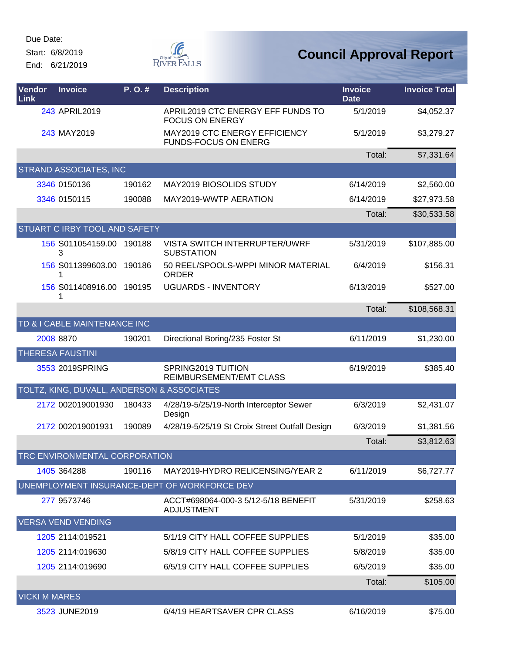Start: 6/8/2019

End: 6/21/2019



| Vendor<br>Link       | <b>Invoice</b>                             | P.O.#  | <b>Description</b>                                           | <b>Invoice</b><br><b>Date</b> | <b>Invoice Total</b> |
|----------------------|--------------------------------------------|--------|--------------------------------------------------------------|-------------------------------|----------------------|
|                      | 243 APRIL2019                              |        | APRIL2019 CTC ENERGY EFF FUNDS TO<br><b>FOCUS ON ENERGY</b>  | 5/1/2019                      | \$4,052.37           |
|                      | 243 MAY2019                                |        | MAY2019 CTC ENERGY EFFICIENCY<br><b>FUNDS-FOCUS ON ENERG</b> | 5/1/2019                      | \$3,279.27           |
|                      |                                            |        |                                                              | Total:                        | \$7,331.64           |
|                      | <b>STRAND ASSOCIATES, INC</b>              |        |                                                              |                               |                      |
|                      | 3346 0150136                               | 190162 | MAY2019 BIOSOLIDS STUDY                                      | 6/14/2019                     | \$2,560.00           |
|                      | 3346 0150115                               | 190088 | MAY2019-WWTP AERATION                                        | 6/14/2019                     | \$27,973.58          |
|                      |                                            |        |                                                              | Total:                        | \$30,533.58          |
|                      | <b>STUART C IRBY TOOL AND SAFETY</b>       |        |                                                              |                               |                      |
|                      | 156 S011054159.00 190188<br>3              |        | <b>VISTA SWITCH INTERRUPTER/UWRF</b><br><b>SUBSTATION</b>    | 5/31/2019                     | \$107,885.00         |
|                      | 156 S011399603.00 190186<br>1              |        | 50 REEL/SPOOLS-WPPI MINOR MATERIAL<br><b>ORDER</b>           | 6/4/2019                      | \$156.31             |
|                      | 156 S011408916.00 190195<br>1              |        | <b>UGUARDS - INVENTORY</b>                                   | 6/13/2019                     | \$527.00             |
|                      |                                            |        |                                                              | Total:                        | \$108,568.31         |
|                      | TD & I CABLE MAINTENANCE INC               |        |                                                              |                               |                      |
|                      | 2008 8870                                  | 190201 | Directional Boring/235 Foster St                             | 6/11/2019                     | \$1,230.00           |
|                      | <b>THERESA FAUSTINI</b>                    |        |                                                              |                               |                      |
|                      | 3553 2019SPRING                            |        | SPRING2019 TUITION<br>REIMBURSEMENT/EMT CLASS                | 6/19/2019                     | \$385.40             |
|                      | TOLTZ, KING, DUVALL, ANDERSON & ASSOCIATES |        |                                                              |                               |                      |
|                      | 2172 002019001930                          | 180433 | 4/28/19-5/25/19-North Interceptor Sewer<br>Design            | 6/3/2019                      | \$2,431.07           |
|                      | 2172 002019001931                          | 190089 | 4/28/19-5/25/19 St Croix Street Outfall Design               | 6/3/2019                      | \$1,381.56           |
|                      |                                            |        |                                                              | Total:                        | \$3,812.63           |
|                      | TRC ENVIRONMENTAL CORPORATION              |        |                                                              |                               |                      |
|                      | 1405 364288                                | 190116 | MAY2019-HYDRO RELICENSING/YEAR 2                             | 6/11/2019                     | \$6,727.77           |
|                      |                                            |        | UNEMPLOYMENT INSURANCE-DEPT OF WORKFORCE DEV                 |                               |                      |
|                      | 277 9573746                                |        | ACCT#698064-000-3 5/12-5/18 BENEFIT<br><b>ADJUSTMENT</b>     | 5/31/2019                     | \$258.63             |
|                      | <b>VERSA VEND VENDING</b>                  |        |                                                              |                               |                      |
|                      | 1205 2114:019521                           |        | 5/1/19 CITY HALL COFFEE SUPPLIES                             | 5/1/2019                      | \$35.00              |
|                      | 1205 2114:019630                           |        | 5/8/19 CITY HALL COFFEE SUPPLIES                             | 5/8/2019                      | \$35.00              |
|                      | 1205 2114:019690                           |        | 6/5/19 CITY HALL COFFEE SUPPLIES                             | 6/5/2019                      | \$35.00              |
|                      |                                            |        |                                                              | Total:                        | \$105.00             |
| <b>VICKI M MARES</b> |                                            |        |                                                              |                               |                      |
|                      | 3523 JUNE2019                              |        | 6/4/19 HEARTSAVER CPR CLASS                                  | 6/16/2019                     | \$75.00              |